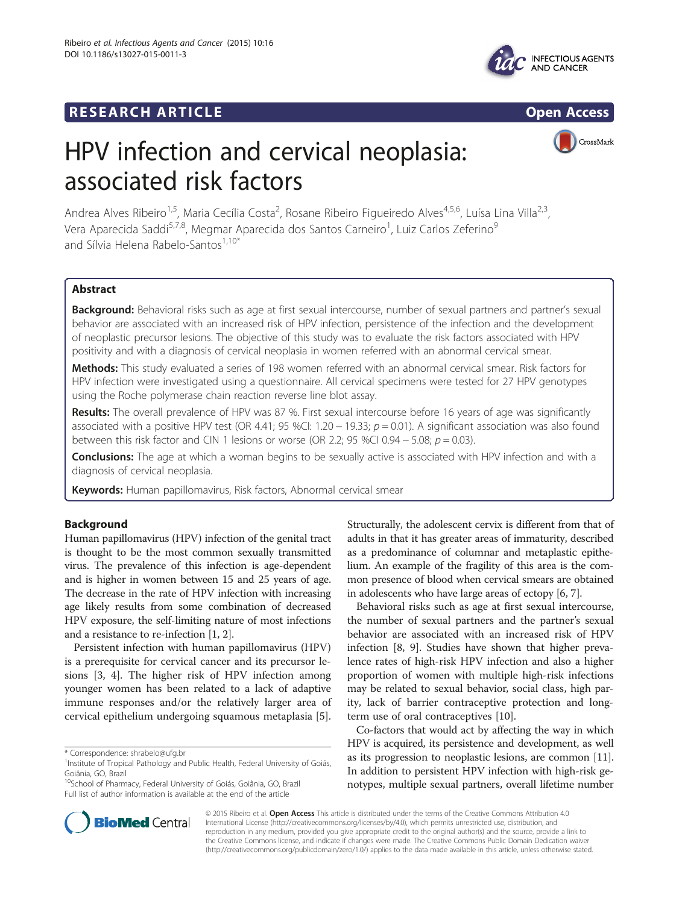# **RESEARCH ARTICLE Example 2014 CONSIDERING CONSIDERING CONSIDERING CONSIDERING CONSIDERING CONSIDERING CONSIDERING CONSIDERING CONSIDERING CONSIDERING CONSIDERING CONSIDERING CONSIDERING CONSIDERING CONSIDERING CONSIDE**



CrossMark

# HPV infection and cervical neoplasia: associated risk factors

Andrea Alves Ribeiro<sup>1,5</sup>, Maria Cecília Costa<sup>2</sup>, Rosane Ribeiro Figueiredo Alves<sup>4,5,6</sup>, Luísa Lina Villa<sup>2,3</sup>, Vera Aparecida Saddi<sup>5,7,8</sup>, Megmar Aparecida dos Santos Carneiro<sup>1</sup>, Luiz Carlos Zeferino<sup>9</sup> and Sílvia Helena Rabelo-Santos<sup>1,10\*</sup>

# Abstract

Background: Behavioral risks such as age at first sexual intercourse, number of sexual partners and partner's sexual behavior are associated with an increased risk of HPV infection, persistence of the infection and the development of neoplastic precursor lesions. The objective of this study was to evaluate the risk factors associated with HPV positivity and with a diagnosis of cervical neoplasia in women referred with an abnormal cervical smear.

Methods: This study evaluated a series of 198 women referred with an abnormal cervical smear. Risk factors for HPV infection were investigated using a questionnaire. All cervical specimens were tested for 27 HPV genotypes using the Roche polymerase chain reaction reverse line blot assay.

Results: The overall prevalence of HPV was 87 %. First sexual intercourse before 16 years of age was significantly associated with a positive HPV test (OR 4.41; 95 %CI: 1.20 – 19.33;  $p = 0.01$ ). A significant association was also found between this risk factor and CIN 1 lesions or worse (OR 2.2; 95 %CI 0.94 – 5.08;  $p = 0.03$ ).

**Conclusions:** The age at which a woman begins to be sexually active is associated with HPV infection and with a diagnosis of cervical neoplasia.

Keywords: Human papillomavirus, Risk factors, Abnormal cervical smear

# Background

Human papillomavirus (HPV) infection of the genital tract is thought to be the most common sexually transmitted virus. The prevalence of this infection is age-dependent and is higher in women between 15 and 25 years of age. The decrease in the rate of HPV infection with increasing age likely results from some combination of decreased HPV exposure, the self-limiting nature of most infections and a resistance to re-infection [[1, 2](#page-5-0)].

Persistent infection with human papillomavirus (HPV) is a prerequisite for cervical cancer and its precursor lesions [\[3](#page-5-0), [4](#page-5-0)]. The higher risk of HPV infection among younger women has been related to a lack of adaptive immune responses and/or the relatively larger area of cervical epithelium undergoing squamous metaplasia [\[5](#page-5-0)].

\* Correspondence: [shrabelo@ufg.br](mailto:shrabelo@ufg.br) <sup>1</sup>

Structurally, the adolescent cervix is different from that of adults in that it has greater areas of immaturity, described as a predominance of columnar and metaplastic epithelium. An example of the fragility of this area is the common presence of blood when cervical smears are obtained in adolescents who have large areas of ectopy [\[6](#page-5-0), [7\]](#page-5-0).

Behavioral risks such as age at first sexual intercourse, the number of sexual partners and the partner's sexual behavior are associated with an increased risk of HPV infection [\[8](#page-5-0), [9\]](#page-5-0). Studies have shown that higher prevalence rates of high-risk HPV infection and also a higher proportion of women with multiple high-risk infections may be related to sexual behavior, social class, high parity, lack of barrier contraceptive protection and longterm use of oral contraceptives [[10\]](#page-5-0).

Co-factors that would act by affecting the way in which HPV is acquired, its persistence and development, as well as its progression to neoplastic lesions, are common [[11](#page-5-0)]. In addition to persistent HPV infection with high-risk genotypes, multiple sexual partners, overall lifetime number



© 2015 Ribeiro et al. Open Access This article is distributed under the terms of the Creative Commons Attribution 4.0 International License [\(http://creativecommons.org/licenses/by/4.0\)](http://creativecommons.org/licenses/by/4.0), which permits unrestricted use, distribution, and reproduction in any medium, provided you give appropriate credit to the original author(s) and the source, provide a link to the Creative Commons license, and indicate if changes were made. The Creative Commons Public Domain Dedication waiver [\(http://creativecommons.org/publicdomain/zero/1.0/](http://creativecommons.org/publicdomain/zero/1.0/)) applies to the data made available in this article, unless otherwise stated.

<sup>&</sup>lt;sup>1</sup>Institute of Tropical Pathology and Public Health, Federal University of Goiás, Goiânia, GO, Brazil

<sup>&</sup>lt;sup>10</sup>School of Pharmacy, Federal University of Goiás, Goiânia, GO, Brazil Full list of author information is available at the end of the article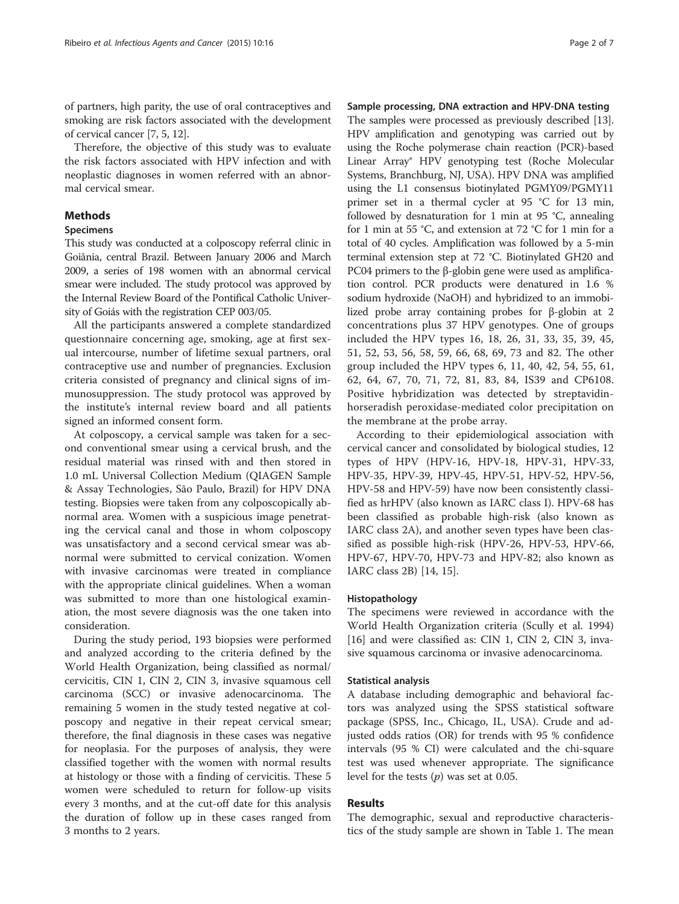of partners, high parity, the use of oral contraceptives and smoking are risk factors associated with the development of cervical cancer [\[7, 5](#page-5-0), [12\]](#page-5-0).

Therefore, the objective of this study was to evaluate the risk factors associated with HPV infection and with neoplastic diagnoses in women referred with an abnormal cervical smear.

# Methods

# Specimens

This study was conducted at a colposcopy referral clinic in Goiânia, central Brazil. Between January 2006 and March 2009, a series of 198 women with an abnormal cervical smear were included. The study protocol was approved by the Internal Review Board of the Pontifical Catholic University of Goiás with the registration CEP 003/05.

All the participants answered a complete standardized questionnaire concerning age, smoking, age at first sexual intercourse, number of lifetime sexual partners, oral contraceptive use and number of pregnancies. Exclusion criteria consisted of pregnancy and clinical signs of immunosuppression. The study protocol was approved by the institute's internal review board and all patients signed an informed consent form.

At colposcopy, a cervical sample was taken for a second conventional smear using a cervical brush, and the residual material was rinsed with and then stored in 1.0 mL Universal Collection Medium (QIAGEN Sample & Assay Technologies, São Paulo, Brazil) for HPV DNA testing. Biopsies were taken from any colposcopically abnormal area. Women with a suspicious image penetrating the cervical canal and those in whom colposcopy was unsatisfactory and a second cervical smear was abnormal were submitted to cervical conization. Women with invasive carcinomas were treated in compliance with the appropriate clinical guidelines. When a woman was submitted to more than one histological examination, the most severe diagnosis was the one taken into consideration.

During the study period, 193 biopsies were performed and analyzed according to the criteria defined by the World Health Organization, being classified as normal/ cervicitis, CIN 1, CIN 2, CIN 3, invasive squamous cell carcinoma (SCC) or invasive adenocarcinoma. The remaining 5 women in the study tested negative at colposcopy and negative in their repeat cervical smear; therefore, the final diagnosis in these cases was negative for neoplasia. For the purposes of analysis, they were classified together with the women with normal results at histology or those with a finding of cervicitis. These 5 women were scheduled to return for follow-up visits every 3 months, and at the cut-off date for this analysis the duration of follow up in these cases ranged from 3 months to 2 years.

### Sample processing, DNA extraction and HPV-DNA testing

The samples were processed as previously described [[13](#page-5-0)]. HPV amplification and genotyping was carried out by using the Roche polymerase chain reaction (PCR)-based Linear Array® HPV genotyping test (Roche Molecular Systems, Branchburg, NJ, USA). HPV DNA was amplified using the L1 consensus biotinylated PGMY09/PGMY11 primer set in a thermal cycler at 95 °C for 13 min, followed by desnaturation for 1 min at 95 °C, annealing for 1 min at 55 °C, and extension at 72 °C for 1 min for a total of 40 cycles. Amplification was followed by a 5-min terminal extension step at 72 °C. Biotinylated GH20 and PC04 primers to the β-globin gene were used as amplification control. PCR products were denatured in 1.6 % sodium hydroxide (NaOH) and hybridized to an immobilized probe array containing probes for β-globin at 2 concentrations plus 37 HPV genotypes. One of groups included the HPV types 16, 18, 26, 31, 33, 35, 39, 45, 51, 52, 53, 56, 58, 59, 66, 68, 69, 73 and 82. The other group included the HPV types 6, 11, 40, 42, 54, 55, 61, 62, 64, 67, 70, 71, 72, 81, 83, 84, IS39 and CP6108. Positive hybridization was detected by streptavidinhorseradish peroxidase-mediated color precipitation on the membrane at the probe array.

According to their epidemiological association with cervical cancer and consolidated by biological studies, 12 types of HPV (HPV-16, HPV-18, HPV-31, HPV-33, HPV-35, HPV-39, HPV-45, HPV-51, HPV-52, HPV-56, HPV-58 and HPV-59) have now been consistently classified as hrHPV (also known as IARC class I). HPV-68 has been classified as probable high-risk (also known as IARC class 2A), and another seven types have been classified as possible high-risk (HPV-26, HPV-53, HPV-66, HPV-67, HPV-70, HPV-73 and HPV-82; also known as IARC class 2B) [[14](#page-5-0), [15](#page-5-0)].

# Histopathology

The specimens were reviewed in accordance with the World Health Organization criteria (Scully et al. 1994) [[16\]](#page-5-0) and were classified as: CIN 1, CIN 2, CIN 3, invasive squamous carcinoma or invasive adenocarcinoma.

# Statistical analysis

A database including demographic and behavioral factors was analyzed using the SPSS statistical software package (SPSS, Inc., Chicago, IL, USA). Crude and adjusted odds ratios (OR) for trends with 95 % confidence intervals (95 % CI) were calculated and the chi-square test was used whenever appropriate. The significance level for the tests  $(p)$  was set at 0.05.

# Results

The demographic, sexual and reproductive characteristics of the study sample are shown in Table [1.](#page-2-0) The mean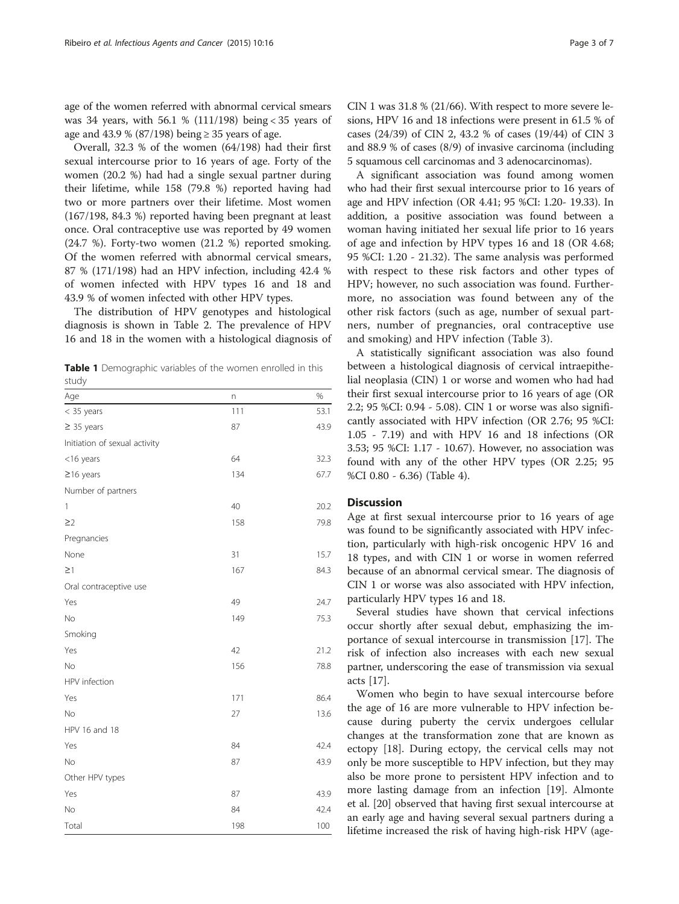<span id="page-2-0"></span>age of the women referred with abnormal cervical smears was 34 years, with 56.1 % (111/198) being < 35 years of age and 43.9 % (87/198) being  $\geq$  35 years of age.

Overall, 32.3 % of the women (64/198) had their first sexual intercourse prior to 16 years of age. Forty of the women (20.2 %) had had a single sexual partner during their lifetime, while 158 (79.8 %) reported having had two or more partners over their lifetime. Most women (167/198, 84.3 %) reported having been pregnant at least once. Oral contraceptive use was reported by 49 women (24.7 %). Forty-two women (21.2 %) reported smoking. Of the women referred with abnormal cervical smears, 87 % (171/198) had an HPV infection, including 42.4 % of women infected with HPV types 16 and 18 and 43.9 % of women infected with other HPV types.

The distribution of HPV genotypes and histological diagnosis is shown in Table [2.](#page-3-0) The prevalence of HPV 16 and 18 in the women with a histological diagnosis of

Table 1 Demographic variables of the women enrolled in this study

| Age                           | n   | %    |
|-------------------------------|-----|------|
| < 35 years                    | 111 | 53.1 |
| $\geq$ 35 years               | 87  | 43.9 |
| Initiation of sexual activity |     |      |
| <16 years                     | 64  | 32.3 |
| $\geq$ 16 years               | 134 | 67.7 |
| Number of partners            |     |      |
| $\mathbf{1}$                  | 40  | 20.2 |
| $\geq$ 2                      | 158 | 79.8 |
| Pregnancies                   |     |      |
| None                          | 31  | 15.7 |
| $\geq$ 1                      | 167 | 84.3 |
| Oral contraceptive use        |     |      |
| Yes                           | 49  | 24.7 |
| No                            | 149 | 75.3 |
| Smoking                       |     |      |
| Yes                           | 42  | 21.2 |
| No                            | 156 | 78.8 |
| HPV infection                 |     |      |
| Yes                           | 171 | 86.4 |
| No                            | 27  | 13.6 |
| HPV 16 and 18                 |     |      |
| Yes                           | 84  | 42.4 |
| No                            | 87  | 43.9 |
| Other HPV types               |     |      |
| Yes                           | 87  | 43.9 |
| No                            | 84  | 42.4 |
| Total                         | 198 | 100  |

CIN 1 was 31.8 % (21/66). With respect to more severe lesions, HPV 16 and 18 infections were present in 61.5 % of cases (24/39) of CIN 2, 43.2 % of cases (19/44) of CIN 3 and 88.9 % of cases (8/9) of invasive carcinoma (including 5 squamous cell carcinomas and 3 adenocarcinomas).

A significant association was found among women who had their first sexual intercourse prior to 16 years of age and HPV infection (OR 4.41; 95 %CI: 1.20- 19.33). In addition, a positive association was found between a woman having initiated her sexual life prior to 16 years of age and infection by HPV types 16 and 18 (OR 4.68; 95 %CI: 1.20 - 21.32). The same analysis was performed with respect to these risk factors and other types of HPV; however, no such association was found. Furthermore, no association was found between any of the other risk factors (such as age, number of sexual partners, number of pregnancies, oral contraceptive use and smoking) and HPV infection (Table [3](#page-3-0)).

A statistically significant association was also found between a histological diagnosis of cervical intraepithelial neoplasia (CIN) 1 or worse and women who had had their first sexual intercourse prior to 16 years of age (OR 2.2; 95 %CI: 0.94 - 5.08). CIN 1 or worse was also significantly associated with HPV infection (OR 2.76; 95 %CI: 1.05 - 7.19) and with HPV 16 and 18 infections (OR 3.53; 95 %CI: 1.17 - 10.67). However, no association was found with any of the other HPV types (OR 2.25; 95 %CI 0.80 - 6.36) (Table [4\)](#page-4-0).

#### **Discussion**

Age at first sexual intercourse prior to 16 years of age was found to be significantly associated with HPV infection, particularly with high-risk oncogenic HPV 16 and 18 types, and with CIN 1 or worse in women referred because of an abnormal cervical smear. The diagnosis of CIN 1 or worse was also associated with HPV infection, particularly HPV types 16 and 18.

Several studies have shown that cervical infections occur shortly after sexual debut, emphasizing the importance of sexual intercourse in transmission [[17\]](#page-5-0). The risk of infection also increases with each new sexual partner, underscoring the ease of transmission via sexual acts [[17\]](#page-5-0).

Women who begin to have sexual intercourse before the age of 16 are more vulnerable to HPV infection because during puberty the cervix undergoes cellular changes at the transformation zone that are known as ectopy [\[18](#page-5-0)]. During ectopy, the cervical cells may not only be more susceptible to HPV infection, but they may also be more prone to persistent HPV infection and to more lasting damage from an infection [[19](#page-5-0)]. Almonte et al. [\[20](#page-5-0)] observed that having first sexual intercourse at an early age and having several sexual partners during a lifetime increased the risk of having high-risk HPV (age-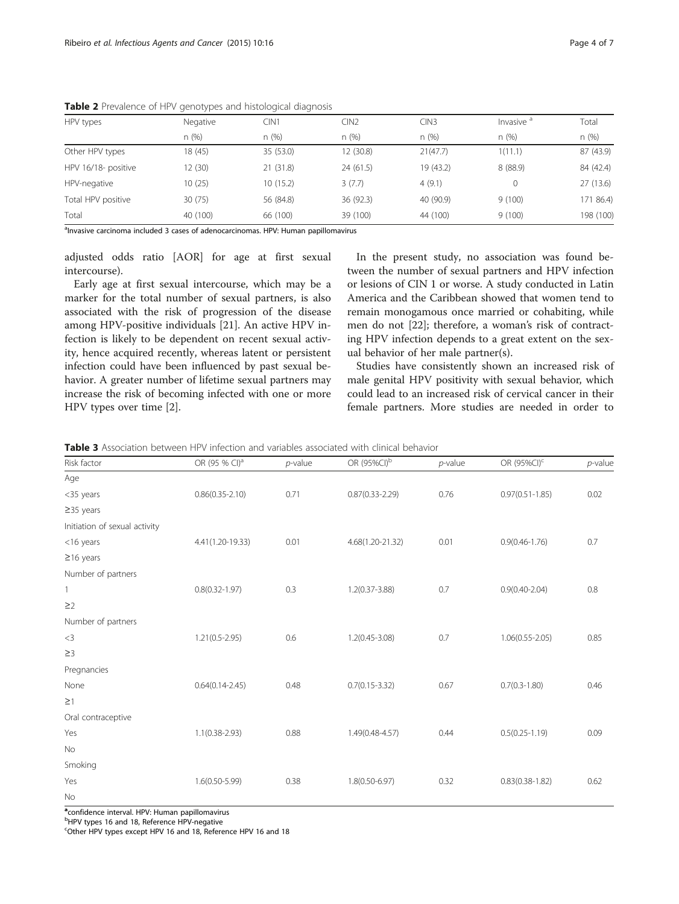| HPV types           | Negative | CIN1      | CIN2      | CIN3      | Invasive <sup>a</sup> | Total     |
|---------------------|----------|-----------|-----------|-----------|-----------------------|-----------|
|                     | n(%)     | n(%)      | n(%)      | n(%)      | n(%)                  | n (%)     |
| Other HPV types     | 18 (45)  | 35 (53.0) | 12 (30.8) | 21(47.7)  | 1(11.1)               | 87 (43.9) |
| HPV 16/18- positive | 12 (30)  | 21(31.8)  | 24(61.5)  | 19 (43.2) | 8 (88.9)              | 84 (42.4) |
| HPV-negative        | 10 (25)  | 10 (15.2) | 3(7.7)    | 4(9.1)    |                       | 27(13.6)  |
| Total HPV positive  | 30(75)   | 56 (84.8) | 36(92.3)  | 40 (90.9) | 9(100)                | 171 86.4) |
| Total               | 40 (100) | 66 (100)  | 39 (100)  | 44 (100)  | 9(100)                | 198 (100) |

<span id="page-3-0"></span>Table 2 Prevalence of HPV genotypes and histological diagnosis

<sup>a</sup>lnvasive carcinoma included 3 cases of adenocarcinomas. HPV: Human papillomavirus

adjusted odds ratio [AOR] for age at first sexual intercourse).

Early age at first sexual intercourse, which may be a marker for the total number of sexual partners, is also associated with the risk of progression of the disease among HPV-positive individuals [[21](#page-5-0)]. An active HPV infection is likely to be dependent on recent sexual activity, hence acquired recently, whereas latent or persistent infection could have been influenced by past sexual behavior. A greater number of lifetime sexual partners may increase the risk of becoming infected with one or more HPV types over time [[2](#page-5-0)].

In the present study, no association was found between the number of sexual partners and HPV infection or lesions of CIN 1 or worse. A study conducted in Latin America and the Caribbean showed that women tend to remain monogamous once married or cohabiting, while men do not [[22](#page-5-0)]; therefore, a woman's risk of contracting HPV infection depends to a great extent on the sexual behavior of her male partner(s).

Studies have consistently shown an increased risk of male genital HPV positivity with sexual behavior, which could lead to an increased risk of cervical cancer in their female partners. More studies are needed in order to

**Table 3** Association between HPV infection and variables associated with clinical behavior

| Risk factor                   | OR (95 % CI) <sup>a</sup> | $p$ -value | OR (95%CI) <sup>b</sup> | $p$ -value | OR (95%CI) <sup>c</sup> | $p$ -value |
|-------------------------------|---------------------------|------------|-------------------------|------------|-------------------------|------------|
| Age                           |                           |            |                         |            |                         |            |
| <35 years                     | $0.86(0.35 - 2.10)$       | 0.71       | $0.87(0.33 - 2.29)$     | 0.76       | $0.97(0.51 - 1.85)$     | 0.02       |
| $\geq$ 35 years               |                           |            |                         |            |                         |            |
| Initiation of sexual activity |                           |            |                         |            |                         |            |
| <16 years                     | 4.41(1.20-19.33)          | 0.01       | 4.68(1.20-21.32)        | 0.01       | $0.9(0.46 - 1.76)$      | 0.7        |
| $\geq$ 16 years               |                           |            |                         |            |                         |            |
| Number of partners            |                           |            |                         |            |                         |            |
| $\mathbf{1}$                  | $0.8(0.32 - 1.97)$        | 0.3        | $1.2(0.37 - 3.88)$      | 0.7        | $0.9(0.40 - 2.04)$      | 0.8        |
| $\geq$ 2                      |                           |            |                         |            |                         |            |
| Number of partners            |                           |            |                         |            |                         |            |
| $<$ 3                         | $1.21(0.5 - 2.95)$        | 0.6        | $1.2(0.45 - 3.08)$      | 0.7        | $1.06(0.55 - 2.05)$     | 0.85       |
| $\geq$ 3                      |                           |            |                         |            |                         |            |
| Pregnancies                   |                           |            |                         |            |                         |            |
| None                          | $0.64(0.14 - 2.45)$       | 0.48       | $0.7(0.15 - 3.32)$      | 0.67       | $0.7(0.3 - 1.80)$       | 0.46       |
| $\geq$ 1                      |                           |            |                         |            |                         |            |
| Oral contraceptive            |                           |            |                         |            |                         |            |
| Yes                           | $1.1(0.38 - 2.93)$        | 0.88       | 1.49(0.48-4.57)         | 0.44       | $0.5(0.25 - 1.19)$      | 0.09       |
| No                            |                           |            |                         |            |                         |            |
| Smoking                       |                           |            |                         |            |                         |            |
| Yes                           | $1.6(0.50 - 5.99)$        | 0.38       | 1.8(0.50-6.97)          | 0.32       | $0.83(0.38-1.82)$       | 0.62       |
| No                            |                           |            |                         |            |                         |            |

aconfidence interval. HPV: Human papillomavirus

<sup>b</sup>HPV types 16 and 18, Reference HPV-negative

c Other HPV types except HPV 16 and 18, Reference HPV 16 and 18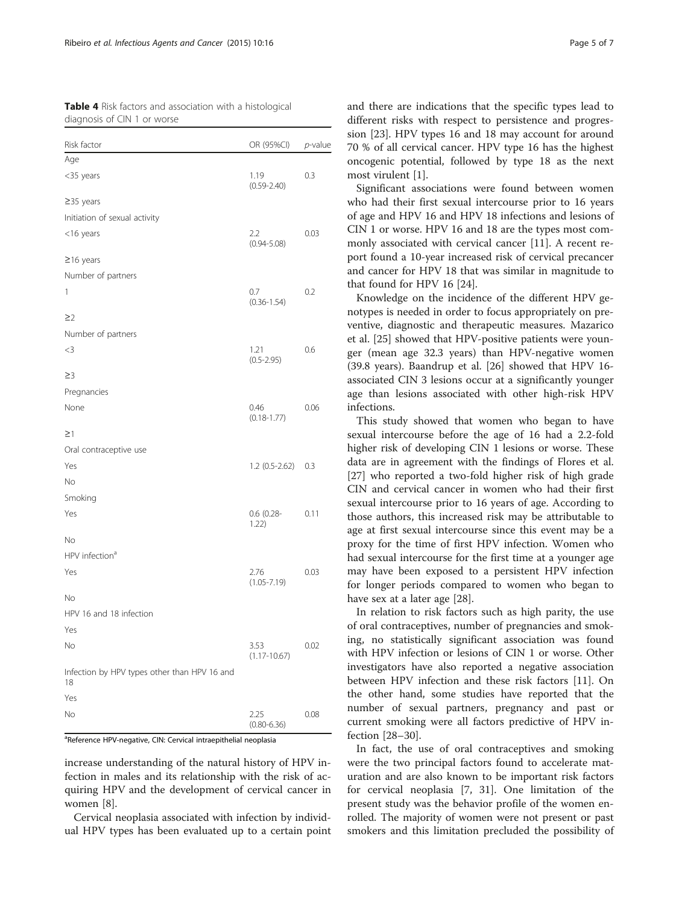<span id="page-4-0"></span>Table 4 Risk factors and association with a histological diagnosis of CIN 1 or worse

| Risk factor                                        | OR (95%CI)               | p-value |
|----------------------------------------------------|--------------------------|---------|
| Age                                                |                          |         |
| <35 years                                          | 1.19<br>$(0.59 - 2.40)$  | 0.3     |
| $\geq$ 35 years                                    |                          |         |
| Initiation of sexual activity                      |                          |         |
| <16 years                                          | 2.2<br>$(0.94 - 5.08)$   | 0.03    |
| $\geq$ 16 years                                    |                          |         |
| Number of partners                                 |                          |         |
| 1                                                  | 0.7<br>$(0.36 - 1.54)$   | 0.2     |
| $\geq$ 2                                           |                          |         |
| Number of partners                                 |                          |         |
| $<$ 3                                              | 1.21<br>$(0.5 - 2.95)$   | 0.6     |
| $\geq$ 3                                           |                          |         |
| Pregnancies                                        |                          |         |
| None                                               | 0.46<br>$(0.18 - 1.77)$  | 0.06    |
| $\geq$ 1                                           |                          |         |
| Oral contraceptive use                             |                          |         |
| Yes                                                | 1.2 (0.5-2.62)           | 0.3     |
| No                                                 |                          |         |
| Smoking                                            |                          |         |
| Yes                                                | $0.6$ (0.28-<br>1.22)    | 0.11    |
| No                                                 |                          |         |
| HPV infection <sup>a</sup>                         |                          |         |
| Yes                                                | 2.76<br>$(1.05 - 7.19)$  | 0.03    |
| No                                                 |                          |         |
| HPV 16 and 18 infection                            |                          |         |
| Yes                                                |                          |         |
| No                                                 | 3.53<br>$(1.17 - 10.67)$ | 0.02    |
| Infection by HPV types other than HPV 16 and<br>18 |                          |         |
| Yes                                                |                          |         |
| No                                                 | 2.25<br>$(0.80 - 6.36)$  | 0.08    |

<sup>a</sup>Reference HPV-negative, CIN: Cervical intraepithelial neoplasia

increase understanding of the natural history of HPV infection in males and its relationship with the risk of acquiring HPV and the development of cervical cancer in women [[8\]](#page-5-0).

Cervical neoplasia associated with infection by individual HPV types has been evaluated up to a certain point

and there are indications that the specific types lead to different risks with respect to persistence and progression [\[23\]](#page-5-0). HPV types 16 and 18 may account for around 70 % of all cervical cancer. HPV type 16 has the highest oncogenic potential, followed by type 18 as the next most virulent [[1\]](#page-5-0).

Significant associations were found between women who had their first sexual intercourse prior to 16 years of age and HPV 16 and HPV 18 infections and lesions of CIN 1 or worse. HPV 16 and 18 are the types most commonly associated with cervical cancer [[11](#page-5-0)]. A recent report found a 10-year increased risk of cervical precancer and cancer for HPV 18 that was similar in magnitude to that found for HPV 16 [[24\]](#page-5-0).

Knowledge on the incidence of the different HPV genotypes is needed in order to focus appropriately on preventive, diagnostic and therapeutic measures. Mazarico et al. [[25](#page-5-0)] showed that HPV-positive patients were younger (mean age 32.3 years) than HPV-negative women (39.8 years). Baandrup et al. [[26\]](#page-5-0) showed that HPV 16 associated CIN 3 lesions occur at a significantly younger age than lesions associated with other high-risk HPV infections.

This study showed that women who began to have sexual intercourse before the age of 16 had a 2.2-fold higher risk of developing CIN 1 lesions or worse. These data are in agreement with the findings of Flores et al. [[27\]](#page-5-0) who reported a two-fold higher risk of high grade CIN and cervical cancer in women who had their first sexual intercourse prior to 16 years of age. According to those authors, this increased risk may be attributable to age at first sexual intercourse since this event may be a proxy for the time of first HPV infection. Women who had sexual intercourse for the first time at a younger age may have been exposed to a persistent HPV infection for longer periods compared to women who began to have sex at a later age [[28\]](#page-6-0).

In relation to risk factors such as high parity, the use of oral contraceptives, number of pregnancies and smoking, no statistically significant association was found with HPV infection or lesions of CIN 1 or worse. Other investigators have also reported a negative association between HPV infection and these risk factors [\[11\]](#page-5-0). On the other hand, some studies have reported that the number of sexual partners, pregnancy and past or current smoking were all factors predictive of HPV infection [[28](#page-6-0)–[30](#page-6-0)].

In fact, the use of oral contraceptives and smoking were the two principal factors found to accelerate maturation and are also known to be important risk factors for cervical neoplasia [\[7](#page-5-0), [31](#page-6-0)]. One limitation of the present study was the behavior profile of the women enrolled. The majority of women were not present or past smokers and this limitation precluded the possibility of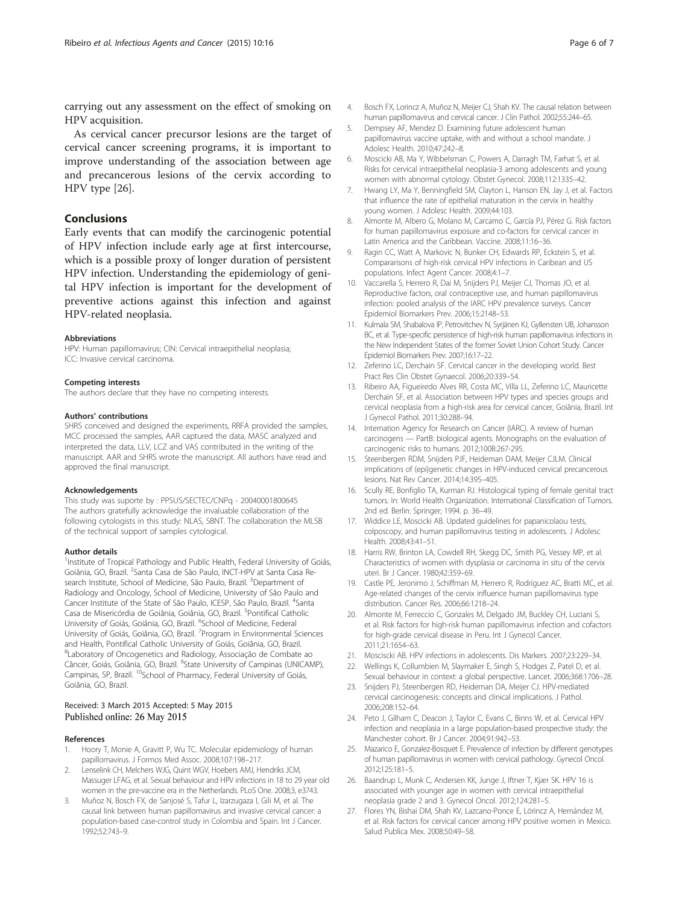<span id="page-5-0"></span>carrying out any assessment on the effect of smoking on HPV acquisition.

As cervical cancer precursor lesions are the target of cervical cancer screening programs, it is important to improve understanding of the association between age and precancerous lesions of the cervix according to HPV type [26].

# Conclusions

Early events that can modify the carcinogenic potential of HPV infection include early age at first intercourse, which is a possible proxy of longer duration of persistent HPV infection. Understanding the epidemiology of genital HPV infection is important for the development of preventive actions against this infection and against HPV-related neoplasia.

#### Abbreviations

HPV: Human papillomavirus; CIN: Cervical intraepithelial neoplasia; ICC: Invasive cervical carcinoma.

#### Competing interests

The authors declare that they have no competing interests.

#### Authors' contributions

SHRS conceived and designed the experiments, RRFA provided the samples, MCC processed the samples, AAR captured the data, MASC analyzed and interpreted the data, LLV, LCZ and VAS contributed in the writing of the manuscript. AAR and SHRS wrote the manuscript. All authors have read and approved the final manuscript.

#### Acknowledgements

This study was suporte by : PPSUS/SECTEC/CNPq - 20040001800645 The authors gratefully acknowledge the invaluable collaboration of the following cytologists in this study: NLAS, SBNT. The collaboration the MLSB of the technical support of samples cytological.

#### Author details

<sup>1</sup>Institute of Tropical Pathology and Public Health, Federal University of Goiás, Goiânia, GO, Brazil. <sup>2</sup> Santa Casa de São Paulo, INCT-HPV at Santa Casa Research Institute, School of Medicine, São Paulo, Brazil. <sup>3</sup>Department of Radiology and Oncology, School of Medicine, University of São Paulo and Cancer Institute of the State of São Paulo, ICESP, São Paulo, Brazil. <sup>4</sup>Santa Casa de Misericórdia de Goiânia, Goiânia, GO, Brazil. <sup>5</sup>Pontifical Catholic University of Goiás, Goiânia, GO, Brazil. <sup>6</sup>School of Medicine, Federal University of Goiás, Goiânia, GO, Brazil. <sup>7</sup> Program in Environmental Sciences and Health, Pontifical Catholic University of Goiás, Goiânia, GO, Brazil. 8 Laboratory of Oncogenetics and Radiology, Associação de Combate ao Câncer, Goiás, Goiânia, GO, Brazil. <sup>9</sup>State University of Campinas (UNICAMP), Campinas, SP, Brazil. <sup>10</sup>School of Pharmacy, Federal University of Goiás, Goiânia, GO, Brazil.

#### Received: 3 March 2015 Accepted: 5 May 2015 Published online: 26 May 2015

#### References

- 1. Hoory T, Monie A, Gravitt P, Wu TC. Molecular epidemiology of human papillomavirus. J Formos Med Assoc. 2008;107:198–217.
- 2. Lenselink CH, Melchers WJG, Quint WGV, Hoebers AMJ, Hendriks JCM, Massuger LFAG, et al. Sexual behaviour and HPV infections in 18 to 29 year old women in the pre-vaccine era in the Netherlands. PLoS One. 2008;3, e3743.
- 3. Muñoz N, Bosch FX, de Sanjosé S, Tafur L, Izarzugaza I, Gili M, et al. The causal link between human papillomavirus and invasive cervical cancer: a population-based case-control study in Colombia and Spain. Int J Cancer. 1992;52:743–9.
- 4. Bosch FX, Lorincz A, Muñoz N, Meijer CJ, Shah KV. The causal relation between human papillomavirus and cervical cancer. J Clin Pathol. 2002;55:244–65.
- 5. Dempsey AF, Mendez D. Examining future adolescent human papillomavirus vaccine uptake, with and without a school mandate. J Adolesc Health. 2010;47:242–8.
- 6. Moscicki AB, Ma Y, Wibbelsman C, Powers A, Darragh TM, Farhat S, et al. Risks for cervical intraepithelial neoplasia-3 among adolescents and young women with abnormal cytology. Obstet Gynecol. 2008;112:1335–42.
- 7. Hwang LY, Ma Y, Benningfield SM, Clayton L, Hanson EN, Jay J, et al. Factors that influence the rate of epithelial maturation in the cervix in healthy young women. J Adolesc Health. 2009;44:103.
- 8. Almonte M, Albero G, Molano M, Carcamo C, García PJ, Pérez G. Risk factors for human papillomavirus exposure and co-factors for cervical cancer in Latin America and the Caribbean. Vaccine. 2008;11:16–36.
- 9. Ragin CC, Watt A, Markovic N, Bunker CH, Edwards RP, Eckstein S, et al. Compararisons of high-risk cervical HPV infections in Caribean and US populations. Infect Agent Cancer. 2008;4:1–7.
- 10. Vaccarella S, Herrero R, Dai M, Snijders PJ, Meijer CJ, Thomas JO, et al. Reproductive factors, oral contraceptive use, and human papillomavirus infection: pooled analysis of the IARC HPV prevalence surveys. Cancer Epidemiol Biomarkers Prev. 2006;15:2148–53.
- 11. Kulmala SM, Shabalova IP, Petrovitchev N, Syrjänen KJ, Gyllensten UB, Johansson BC, et al. Type-specific persistence of high-risk human papillomavirus infections in the New Independent States of the former Soviet Union Cohort Study. Cancer Epidemiol Biomarkers Prev. 2007;16:17–22.
- 12. Zeferino LC, Derchain SF. Cervical cancer in the developing world. Best Pract Res Clin Obstet Gynaecol. 2006;20:339–54.
- 13. Ribeiro AA, Figueiredo Alves RR, Costa MC, Villa LL, Zeferino LC, Mauricette Derchain SF, et al. Association between HPV types and species groups and cervical neoplasia from a high-risk area for cervical cancer, Goiânia, Brazil. Int J Gynecol Pathol. 2011;30:288–94.
- 14. Internation Agency for Research on Cancer (IARC). A review of human carcinogens — PartB: biological agents. Monographs on the evaluation of carcinogenic risks to humans. 2012;100B:267-295.
- 15. Steenbergen RDM, Snijders PJF, Heideman DAM, Meijer CJLM. Clinical implications of (epi)genetic changes in HPV-induced cervical precancerous lesions. Nat Rev Cancer. 2014;14:395–405.
- 16. Scully RE, Bonfiglio TA, Kurman RJ. Histological typing of female genital tract tumors. In: World Health Organization. International Classification of Tumors. 2nd ed. Berlin: Springer; 1994. p. 36–49.
- 17. Widdice LE, Moscicki AB. Updated guidelines for papanicolaou tests, colposcopy, and human papillomavirus testing in adolescents. J Adolesc Health. 2008;43:41–51.
- 18. Harris RW, Brinton LA, Cowdell RH, Skegg DC, Smith PG, Vessey MP, et al. Characteristics of women with dysplasia or carcinoma in situ of the cervix uteri. Br J Cancer. 1980;42:359–69.
- 19. Castle PE, Jeronimo J, Schiffman M, Herrero R, Rodríguez AC, Bratti MC, et al. Age-related changes of the cervix influence human papillomavirus type distribution. Cancer Res. 2006;66:1218–24.
- 20. Almonte M, Ferreccio C, Gonzales M, Delgado JM, Buckley CH, Luciani S, et al. Risk factors for high-risk human papillomavirus infection and cofactors for high-grade cervical disease in Peru. Int J Gynecol Cancer. 2011;21:1654–63.
- 21. Mosciscki AB. HPV infections in adolescents. Dis Markers. 2007;23:229–34.
- 22. Wellings K, Collumbien M, Slaymaker E, Singh S, Hodges Z, Patel D, et al. Sexual behaviour in context: a global perspective. Lancet. 2006;368:1706–28.
- 23. Snijders PJ, Steenbergen RD, Heideman DA, Meijer CJ. HPV-mediated cervical carcinogenesis: concepts and clinical implications. J Pathol. 2006;208:152–64.
- 24. Peto J, Gilham C, Deacon J, Taylor C, Evans C, Binns W, et al. Cervical HPV infection and neoplasia in a large population-based prospective study: the Manchester cohort. Br J Cancer. 2004;91:942–53.
- 25. Mazarico E, Gonzalez-Bosquet E. Prevalence of infection by different genotypes of human papillomavirus in women with cervical pathology. Gynecol Oncol. 2012;125:181–5.
- 26. Baandrup L, Munk C, Andersen KK, Junge J, Iftner T, Kjær SK. HPV 16 is associated with younger age in women with cervical intraepithelial neoplasia grade 2 and 3. Gynecol Oncol. 2012;124:281–5.
- 27. Flores YN, Bishai DM, Shah KV, Lazcano-Ponce E, Lörincz A, Hernández M, et al. Risk factors for cervical cancer among HPV positive women in Mexico. Salud Publica Mex. 2008;50:49–58.